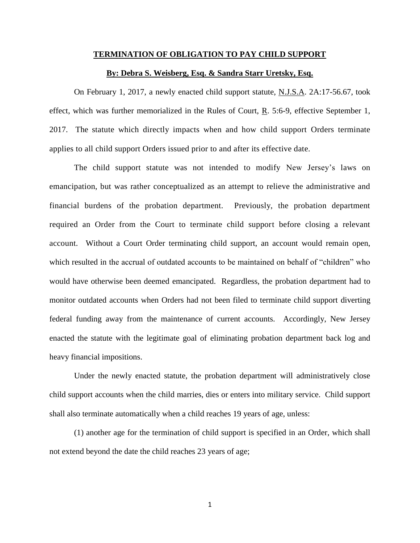## **TERMINATION OF OBLIGATION TO PAY CHILD SUPPORT**

## **By: Debra S. Weisberg, Esq. & Sandra Starr Uretsky, Esq.**

On February 1, 2017, a newly enacted child support statute, N.J.S.A. 2A:17-56.67, took effect, which was further memorialized in the Rules of Court, R. 5:6-9, effective September 1, 2017. The statute which directly impacts when and how child support Orders terminate applies to all child support Orders issued prior to and after its effective date.

The child support statute was not intended to modify New Jersey's laws on emancipation, but was rather conceptualized as an attempt to relieve the administrative and financial burdens of the probation department. Previously, the probation department required an Order from the Court to terminate child support before closing a relevant account. Without a Court Order terminating child support, an account would remain open, which resulted in the accrual of outdated accounts to be maintained on behalf of "children" who would have otherwise been deemed emancipated. Regardless, the probation department had to monitor outdated accounts when Orders had not been filed to terminate child support diverting federal funding away from the maintenance of current accounts. Accordingly, New Jersey enacted the statute with the legitimate goal of eliminating probation department back log and heavy financial impositions.

Under the newly enacted statute, the probation department will administratively close child support accounts when the child marries, dies or enters into military service. Child support shall also terminate automatically when a child reaches 19 years of age, unless:

(1) another age for the termination of child support is specified in an Order, which shall not extend beyond the date the child reaches 23 years of age;

1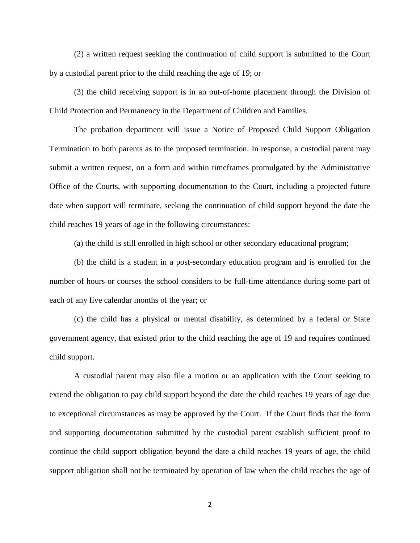(2) a written request seeking the continuation of child support is submitted to the Court by a custodial parent prior to the child reaching the age of 19; or

(3) the child receiving support is in an out-of-home placement through the Division of Child Protection and Permanency in the Department of Children and Families.

The probation department will issue a Notice of Proposed Child Support Obligation Termination to both parents as to the proposed termination. In response, a custodial parent may submit a written request, on a form and within timeframes promulgated by the Administrative Office of the Courts, with supporting documentation to the Court, including a projected future date when support will terminate, seeking the continuation of child support beyond the date the child reaches 19 years of age in the following circumstances:

(a) the child is still enrolled in high school or other secondary educational program;

(b) the child is a student in a post-secondary education program and is enrolled for the number of hours or courses the school considers to be full-time attendance during some part of each of any five calendar months of the year; or

(c) the child has a physical or mental disability, as determined by a federal or State government agency, that existed prior to the child reaching the age of 19 and requires continued child support.

A custodial parent may also file a motion or an application with the Court seeking to extend the obligation to pay child support beyond the date the child reaches 19 years of age due to exceptional circumstances as may be approved by the Court. If the Court finds that the form and supporting documentation submitted by the custodial parent establish sufficient proof to continue the child support obligation beyond the date a child reaches 19 years of age, the child support obligation shall not be terminated by operation of law when the child reaches the age of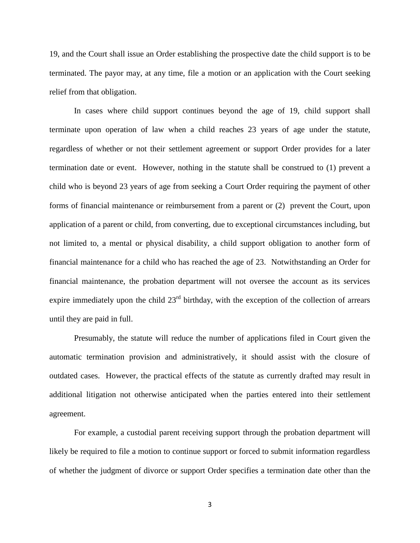19, and the Court shall issue an Order establishing the prospective date the child support is to be terminated. The payor may, at any time, file a motion or an application with the Court seeking relief from that obligation.

In cases where child support continues beyond the age of 19, child support shall terminate upon operation of law when a child reaches 23 years of age under the statute, regardless of whether or not their settlement agreement or support Order provides for a later termination date or event. However, nothing in the statute shall be construed to (1) prevent a child who is beyond 23 years of age from seeking a Court Order requiring the payment of other forms of financial maintenance or reimbursement from a parent or (2) prevent the Court, upon application of a parent or child, from converting, due to exceptional circumstances including, but not limited to, a mental or physical disability, a child support obligation to another form of financial maintenance for a child who has reached the age of 23. Notwithstanding an Order for financial maintenance, the probation department will not oversee the account as its services expire immediately upon the child  $23<sup>rd</sup>$  birthday, with the exception of the collection of arrears until they are paid in full.

Presumably, the statute will reduce the number of applications filed in Court given the automatic termination provision and administratively, it should assist with the closure of outdated cases. However, the practical effects of the statute as currently drafted may result in additional litigation not otherwise anticipated when the parties entered into their settlement agreement.

For example, a custodial parent receiving support through the probation department will likely be required to file a motion to continue support or forced to submit information regardless of whether the judgment of divorce or support Order specifies a termination date other than the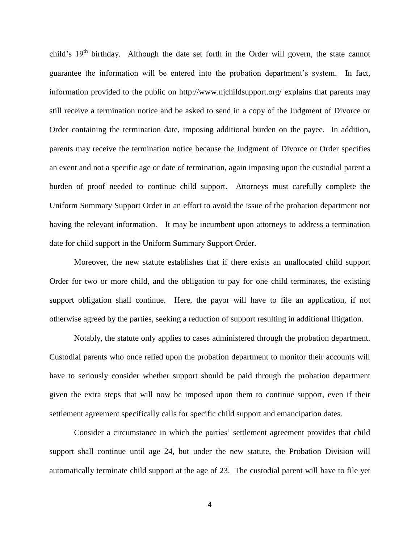child's 19<sup>th</sup> birthday. Although the date set forth in the Order will govern, the state cannot guarantee the information will be entered into the probation department's system. In fact, information provided to the public on http://www.njchildsupport.org/ explains that parents may still receive a termination notice and be asked to send in a copy of the Judgment of Divorce or Order containing the termination date, imposing additional burden on the payee. In addition, parents may receive the termination notice because the Judgment of Divorce or Order specifies an event and not a specific age or date of termination, again imposing upon the custodial parent a burden of proof needed to continue child support. Attorneys must carefully complete the Uniform Summary Support Order in an effort to avoid the issue of the probation department not having the relevant information. It may be incumbent upon attorneys to address a termination date for child support in the Uniform Summary Support Order.

Moreover, the new statute establishes that if there exists an unallocated child support Order for two or more child, and the obligation to pay for one child terminates, the existing support obligation shall continue. Here, the payor will have to file an application, if not otherwise agreed by the parties, seeking a reduction of support resulting in additional litigation.

Notably, the statute only applies to cases administered through the probation department. Custodial parents who once relied upon the probation department to monitor their accounts will have to seriously consider whether support should be paid through the probation department given the extra steps that will now be imposed upon them to continue support, even if their settlement agreement specifically calls for specific child support and emancipation dates.

Consider a circumstance in which the parties' settlement agreement provides that child support shall continue until age 24, but under the new statute, the Probation Division will automatically terminate child support at the age of 23. The custodial parent will have to file yet